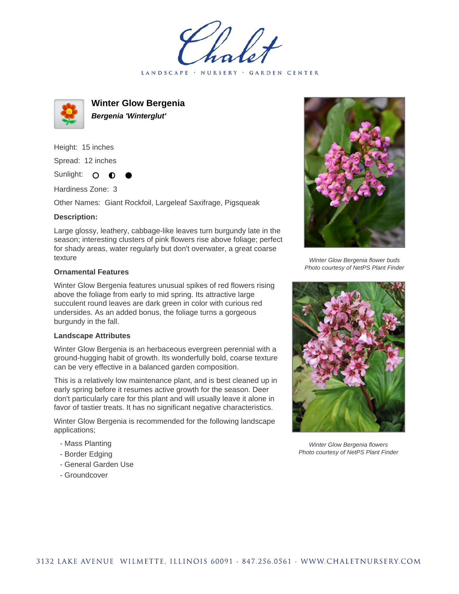LANDSCAPE · NURSERY · GARDEN CENTER



**Winter Glow Bergenia Bergenia 'Winterglut'**

Height: 15 inches Spread: 12 inches

Sunlight: O  $\bullet$ 

Hardiness Zone: 3

Other Names: Giant Rockfoil, Largeleaf Saxifrage, Pigsqueak

## **Description:**

Large glossy, leathery, cabbage-like leaves turn burgundy late in the season; interesting clusters of pink flowers rise above foliage; perfect for shady areas, water regularly but don't overwater, a great coarse texture

## **Ornamental Features**

Winter Glow Bergenia features unusual spikes of red flowers rising above the foliage from early to mid spring. Its attractive large succulent round leaves are dark green in color with curious red undersides. As an added bonus, the foliage turns a gorgeous burgundy in the fall.

## **Landscape Attributes**

Winter Glow Bergenia is an herbaceous evergreen perennial with a ground-hugging habit of growth. Its wonderfully bold, coarse texture can be very effective in a balanced garden composition.

This is a relatively low maintenance plant, and is best cleaned up in early spring before it resumes active growth for the season. Deer don't particularly care for this plant and will usually leave it alone in favor of tastier treats. It has no significant negative characteristics.

Winter Glow Bergenia is recommended for the following landscape applications;

- Mass Planting
- Border Edging
- General Garden Use
- Groundcover



Winter Glow Bergenia flower buds Photo courtesy of NetPS Plant Finder



Winter Glow Bergenia flowers Photo courtesy of NetPS Plant Finder